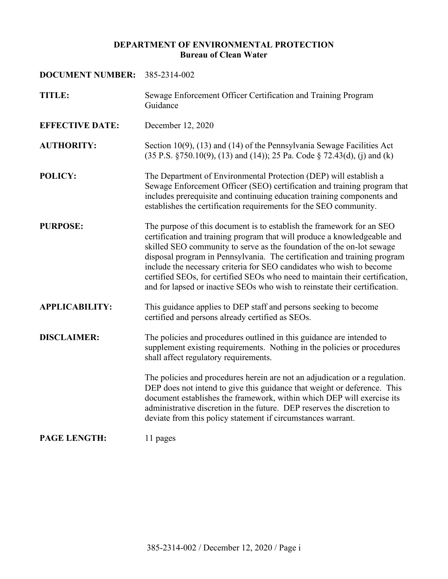#### **DEPARTMENT OF ENVIRONMENTAL PROTECTION Bureau of Clean Water**

# **DOCUMENT NUMBER:** 385-2314-002 **TITLE:** Sewage Enforcement Officer Certification and Training Program Guidance **EFFECTIVE DATE:** December 12, 2020 **AUTHORITY:** Section 10(9), (13) and (14) of the Pennsylvania Sewage Facilities Act (35 P.S. §750.10(9), (13) and (14)); 25 Pa. Code § 72.43(d), (j) and (k) **POLICY:** The Department of Environmental Protection (DEP) will establish a Sewage Enforcement Officer (SEO) certification and training program that includes prerequisite and continuing education training components and establishes the certification requirements for the SEO community. **PURPOSE:** The purpose of this document is to establish the framework for an SEO certification and training program that will produce a knowledgeable and skilled SEO community to serve as the foundation of the on-lot sewage disposal program in Pennsylvania. The certification and training program include the necessary criteria for SEO candidates who wish to become certified SEOs, for certified SEOs who need to maintain their certification, and for lapsed or inactive SEOs who wish to reinstate their certification. **APPLICABILITY:** This guidance applies to DEP staff and persons seeking to become certified and persons already certified as SEOs. **DISCLAIMER:** The policies and procedures outlined in this guidance are intended to supplement existing requirements. Nothing in the policies or procedures shall affect regulatory requirements. The policies and procedures herein are not an adjudication or a regulation. DEP does not intend to give this guidance that weight or deference. This document establishes the framework, within which DEP will exercise its administrative discretion in the future. DEP reserves the discretion to deviate from this policy statement if circumstances warrant. **PAGE LENGTH:** 11 pages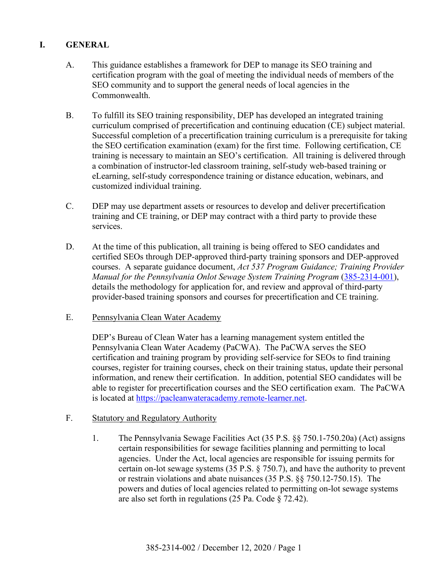## **I. GENERAL**

- A. This guidance establishes a framework for DEP to manage its SEO training and certification program with the goal of meeting the individual needs of members of the SEO community and to support the general needs of local agencies in the Commonwealth.
- B. To fulfill its SEO training responsibility, DEP has developed an integrated training curriculum comprised of precertification and continuing education (CE) subject material. Successful completion of a precertification training curriculum is a prerequisite for taking the SEO certification examination (exam) for the first time. Following certification, CE training is necessary to maintain an SEO's certification. All training is delivered through a combination of instructor-led classroom training, self-study web-based training or eLearning, self-study correspondence training or distance education, webinars, and customized individual training.
- C. DEP may use department assets or resources to develop and deliver precertification training and CE training, or DEP may contract with a third party to provide these services.
- D. At the time of this publication, all training is being offered to SEO candidates and certified SEOs through DEP-approved third-party training sponsors and DEP-approved courses. A separate guidance document, *Act 537 Program Guidance; Training Provider Manual for the Pennsylvania Onlot Sewage System Training Program* [\(385-2314-001\)](http://www.depgreenport.state.pa.us/elibrary/GetFolder?FolderID=4619), details the methodology for application for, and review and approval of third-party provider-based training sponsors and courses for precertification and CE training.
- E. Pennsylvania Clean Water Academy

DEP's Bureau of Clean Water has a learning management system entitled the Pennsylvania Clean Water Academy (PaCWA). The PaCWA serves the SEO certification and training program by providing self-service for SEOs to find training courses, register for training courses, check on their training status, update their personal information, and renew their certification. In addition, potential SEO candidates will be able to register for precertification courses and the SEO certification exam. The PaCWA is located at [https://pacleanwateracademy.remote-learner.net.](https://pacleanwateracademy.remote-learner.net/)

- F. Statutory and Regulatory Authority
	- 1. The Pennsylvania Sewage Facilities Act (35 P.S. §§ 750.1-750.20a) (Act) assigns certain responsibilities for sewage facilities planning and permitting to local agencies. Under the Act, local agencies are responsible for issuing permits for certain on-lot sewage systems (35 P.S. § 750.7), and have the authority to prevent or restrain violations and abate nuisances (35 P.S. §§ 750.12-750.15). The powers and duties of local agencies related to permitting on-lot sewage systems are also set forth in regulations (25 Pa. Code § 72.42).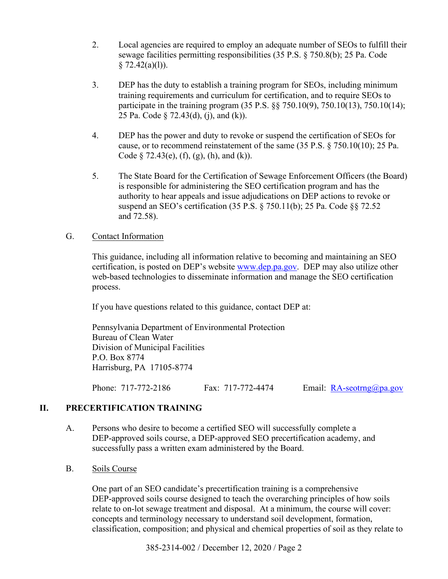- 2. Local agencies are required to employ an adequate number of SEOs to fulfill their sewage facilities permitting responsibilities (35 P.S. § 750.8(b); 25 Pa. Code  $§ 72.42(a)(1)).$
- 3. DEP has the duty to establish a training program for SEOs, including minimum training requirements and curriculum for certification, and to require SEOs to participate in the training program (35 P.S. §§ 750.10(9), 750.10(13), 750.10(14); 25 Pa. Code § 72.43(d), (j), and (k)).
- 4. DEP has the power and duty to revoke or suspend the certification of SEOs for cause, or to recommend reinstatement of the same (35 P.S. § 750.10(10); 25 Pa. Code  $\S$  72.43(e), (f), (g), (h), and (k)).
- 5. The State Board for the Certification of Sewage Enforcement Officers (the Board) is responsible for administering the SEO certification program and has the authority to hear appeals and issue adjudications on DEP actions to revoke or suspend an SEO's certification (35 P.S. § 750.11(b); 25 Pa. Code §§ 72.52 and 72.58).

## G. Contact Information

This guidance, including all information relative to becoming and maintaining an SEO certification, is posted on DEP's website [www.dep.pa.gov.](http://www.dep.pa.gov/) DEP may also utilize other web-based technologies to disseminate information and manage the SEO certification process.

If you have questions related to this guidance, contact DEP at:

Pennsylvania Department of Environmental Protection Bureau of Clean Water Division of Municipal Facilities P.O. Box 8774 Harrisburg, PA 17105-8774

Phone: 717-772-2186 Fax: 717-772-4474 Email: [RA-seotrng@pa.gov](mailto:RA-seotrng@pa.gov)

# **II. PRECERTIFICATION TRAINING**

A. Persons who desire to become a certified SEO will successfully complete a DEP-approved soils course, a DEP-approved SEO precertification academy, and successfully pass a written exam administered by the Board.

## B. Soils Course

One part of an SEO candidate's precertification training is a comprehensive DEP-approved soils course designed to teach the overarching principles of how soils relate to on-lot sewage treatment and disposal. At a minimum, the course will cover: concepts and terminology necessary to understand soil development, formation, classification, composition; and physical and chemical properties of soil as they relate to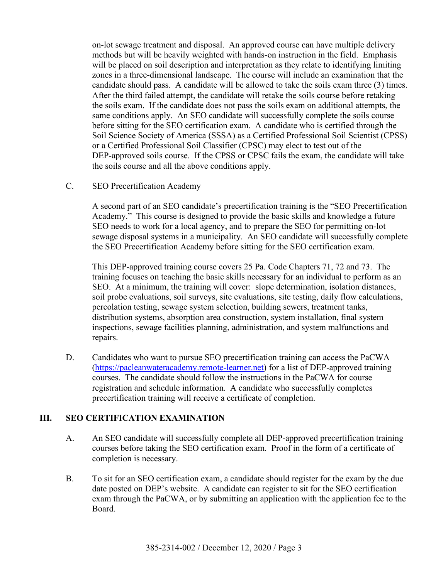on-lot sewage treatment and disposal. An approved course can have multiple delivery methods but will be heavily weighted with hands-on instruction in the field. Emphasis will be placed on soil description and interpretation as they relate to identifying limiting zones in a three-dimensional landscape. The course will include an examination that the candidate should pass. A candidate will be allowed to take the soils exam three (3) times. After the third failed attempt, the candidate will retake the soils course before retaking the soils exam. If the candidate does not pass the soils exam on additional attempts, the same conditions apply. An SEO candidate will successfully complete the soils course before sitting for the SEO certification exam. A candidate who is certified through the Soil Science Society of America (SSSA) as a Certified Professional Soil Scientist (CPSS) or a Certified Professional Soil Classifier (CPSC) may elect to test out of the DEP-approved soils course. If the CPSS or CPSC fails the exam, the candidate will take the soils course and all the above conditions apply.

#### C. SEO Precertification Academy

A second part of an SEO candidate's precertification training is the "SEO Precertification Academy." This course is designed to provide the basic skills and knowledge a future SEO needs to work for a local agency, and to prepare the SEO for permitting on-lot sewage disposal systems in a municipality. An SEO candidate will successfully complete the SEO Precertification Academy before sitting for the SEO certification exam.

This DEP-approved training course covers 25 Pa. Code Chapters 71, 72 and 73. The training focuses on teaching the basic skills necessary for an individual to perform as an SEO. At a minimum, the training will cover: slope determination, isolation distances, soil probe evaluations, soil surveys, site evaluations, site testing, daily flow calculations, percolation testing, sewage system selection, building sewers, treatment tanks, distribution systems, absorption area construction, system installation, final system inspections, sewage facilities planning, administration, and system malfunctions and repairs.

D. Candidates who want to pursue SEO precertification training can access the PaCWA [\(https://pacleanwateracademy.remote-learner.net\)](https://pacleanwateracademy.remote-learner.net/) for a list of DEP-approved training courses. The candidate should follow the instructions in the PaCWA for course registration and schedule information. A candidate who successfully completes precertification training will receive a certificate of completion.

## **III. SEO CERTIFICATION EXAMINATION**

- A. An SEO candidate will successfully complete all DEP-approved precertification training courses before taking the SEO certification exam. Proof in the form of a certificate of completion is necessary.
- B. To sit for an SEO certification exam, a candidate should register for the exam by the due date posted on DEP's website. A candidate can register to sit for the SEO certification exam through the PaCWA, or by submitting an application with the application fee to the Board.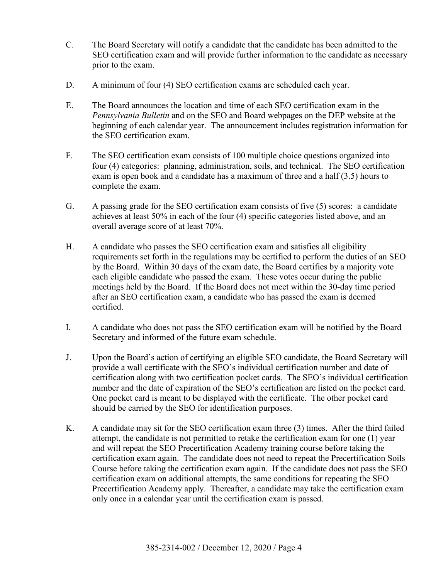- C. The Board Secretary will notify a candidate that the candidate has been admitted to the SEO certification exam and will provide further information to the candidate as necessary prior to the exam.
- D. A minimum of four (4) SEO certification exams are scheduled each year.
- E. The Board announces the location and time of each SEO certification exam in the *Pennsylvania Bulletin* and on the SEO and Board webpages on the DEP website at the beginning of each calendar year. The announcement includes registration information for the SEO certification exam.
- F. The SEO certification exam consists of 100 multiple choice questions organized into four (4) categories: planning, administration, soils, and technical. The SEO certification exam is open book and a candidate has a maximum of three and a half (3.5) hours to complete the exam.
- G. A passing grade for the SEO certification exam consists of five (5) scores: a candidate achieves at least 50% in each of the four (4) specific categories listed above, and an overall average score of at least 70%.
- H. A candidate who passes the SEO certification exam and satisfies all eligibility requirements set forth in the regulations may be certified to perform the duties of an SEO by the Board. Within 30 days of the exam date, the Board certifies by a majority vote each eligible candidate who passed the exam. These votes occur during the public meetings held by the Board. If the Board does not meet within the 30-day time period after an SEO certification exam, a candidate who has passed the exam is deemed certified.
- I. A candidate who does not pass the SEO certification exam will be notified by the Board Secretary and informed of the future exam schedule.
- J. Upon the Board's action of certifying an eligible SEO candidate, the Board Secretary will provide a wall certificate with the SEO's individual certification number and date of certification along with two certification pocket cards. The SEO's individual certification number and the date of expiration of the SEO's certification are listed on the pocket card. One pocket card is meant to be displayed with the certificate. The other pocket card should be carried by the SEO for identification purposes.
- K. A candidate may sit for the SEO certification exam three (3) times. After the third failed attempt, the candidate is not permitted to retake the certification exam for one (1) year and will repeat the SEO Precertification Academy training course before taking the certification exam again. The candidate does not need to repeat the Precertification Soils Course before taking the certification exam again. If the candidate does not pass the SEO certification exam on additional attempts, the same conditions for repeating the SEO Precertification Academy apply. Thereafter, a candidate may take the certification exam only once in a calendar year until the certification exam is passed.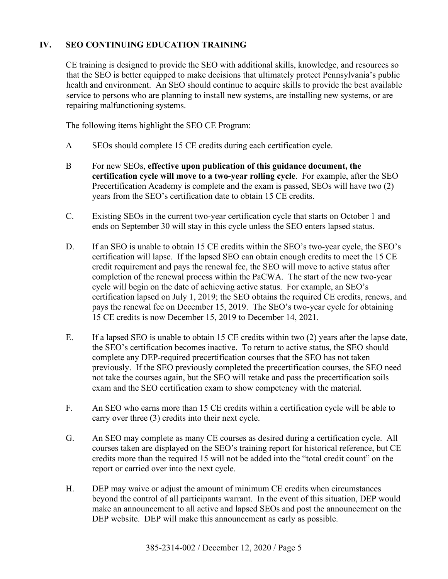# **IV. SEO CONTINUING EDUCATION TRAINING**

CE training is designed to provide the SEO with additional skills, knowledge, and resources so that the SEO is better equipped to make decisions that ultimately protect Pennsylvania's public health and environment. An SEO should continue to acquire skills to provide the best available service to persons who are planning to install new systems, are installing new systems, or are repairing malfunctioning systems.

The following items highlight the SEO CE Program:

- A SEOs should complete 15 CE credits during each certification cycle.
- B For new SEOs, **effective upon publication of this guidance document, the certification cycle will move to a two-year rolling cycle**. For example, after the SEO Precertification Academy is complete and the exam is passed, SEOs will have two (2) years from the SEO's certification date to obtain 15 CE credits.
- C. Existing SEOs in the current two-year certification cycle that starts on October 1 and ends on September 30 will stay in this cycle unless the SEO enters lapsed status.
- D. If an SEO is unable to obtain 15 CE credits within the SEO's two-year cycle, the SEO's certification will lapse. If the lapsed SEO can obtain enough credits to meet the 15 CE credit requirement and pays the renewal fee, the SEO will move to active status after completion of the renewal process within the PaCWA. The start of the new two-year cycle will begin on the date of achieving active status. For example, an SEO's certification lapsed on July 1, 2019; the SEO obtains the required CE credits, renews, and pays the renewal fee on December 15, 2019. The SEO's two-year cycle for obtaining 15 CE credits is now December 15, 2019 to December 14, 2021.
- E. If a lapsed SEO is unable to obtain 15 CE credits within two (2) years after the lapse date, the SEO's certification becomes inactive. To return to active status, the SEO should complete any DEP-required precertification courses that the SEO has not taken previously. If the SEO previously completed the precertification courses, the SEO need not take the courses again, but the SEO will retake and pass the precertification soils exam and the SEO certification exam to show competency with the material.
- F. An SEO who earns more than 15 CE credits within a certification cycle will be able to carry over three (3) credits into their next cycle.
- G. An SEO may complete as many CE courses as desired during a certification cycle. All courses taken are displayed on the SEO's training report for historical reference, but CE credits more than the required 15 will not be added into the "total credit count" on the report or carried over into the next cycle.
- H. DEP may waive or adjust the amount of minimum CE credits when circumstances beyond the control of all participants warrant. In the event of this situation, DEP would make an announcement to all active and lapsed SEOs and post the announcement on the DEP website. DEP will make this announcement as early as possible.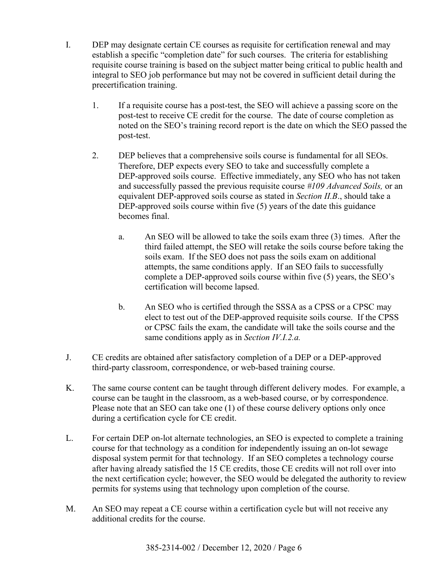- I. DEP may designate certain CE courses as requisite for certification renewal and may establish a specific "completion date" for such courses. The criteria for establishing requisite course training is based on the subject matter being critical to public health and integral to SEO job performance but may not be covered in sufficient detail during the precertification training.
	- 1. If a requisite course has a post-test, the SEO will achieve a passing score on the post-test to receive CE credit for the course. The date of course completion as noted on the SEO's training record report is the date on which the SEO passed the post-test.
	- 2. DEP believes that a comprehensive soils course is fundamental for all SEOs. Therefore, DEP expects every SEO to take and successfully complete a DEP-approved soils course. Effective immediately, any SEO who has not taken and successfully passed the previous requisite course *#109 Advanced Soils,* or an equivalent DEP-approved soils course as stated in *Section II.B*., should take a DEP-approved soils course within five (5) years of the date this guidance becomes final.
		- a. An SEO will be allowed to take the soils exam three (3) times. After the third failed attempt, the SEO will retake the soils course before taking the soils exam. If the SEO does not pass the soils exam on additional attempts, the same conditions apply. If an SEO fails to successfully complete a DEP-approved soils course within five (5) years, the SEO's certification will become lapsed.
		- b. An SEO who is certified through the SSSA as a CPSS or a CPSC may elect to test out of the DEP-approved requisite soils course. If the CPSS or CPSC fails the exam, the candidate will take the soils course and the same conditions apply as in *Section IV.I.2.a.*
- J. CE credits are obtained after satisfactory completion of a DEP or a DEP-approved third-party classroom, correspondence, or web-based training course.
- K. The same course content can be taught through different delivery modes. For example, a course can be taught in the classroom, as a web-based course, or by correspondence. Please note that an SEO can take one (1) of these course delivery options only once during a certification cycle for CE credit.
- L. For certain DEP on-lot alternate technologies, an SEO is expected to complete a training course for that technology as a condition for independently issuing an on-lot sewage disposal system permit for that technology. If an SEO completes a technology course after having already satisfied the 15 CE credits, those CE credits will not roll over into the next certification cycle; however, the SEO would be delegated the authority to review permits for systems using that technology upon completion of the course.
- M. An SEO may repeat a CE course within a certification cycle but will not receive any additional credits for the course.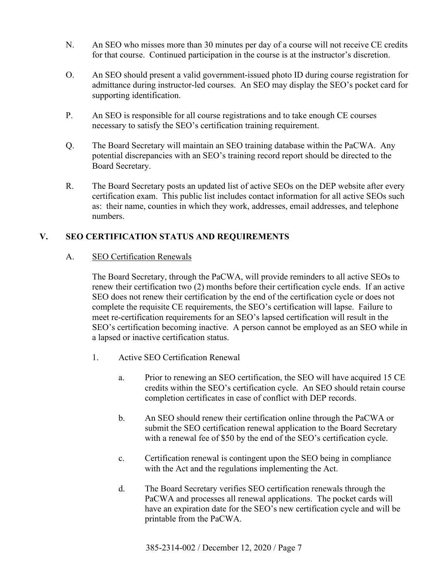- N. An SEO who misses more than 30 minutes per day of a course will not receive CE credits for that course. Continued participation in the course is at the instructor's discretion.
- O. An SEO should present a valid government-issued photo ID during course registration for admittance during instructor-led courses. An SEO may display the SEO's pocket card for supporting identification.
- P. An SEO is responsible for all course registrations and to take enough CE courses necessary to satisfy the SEO's certification training requirement.
- Q. The Board Secretary will maintain an SEO training database within the PaCWA. Any potential discrepancies with an SEO's training record report should be directed to the Board Secretary.
- R. The Board Secretary posts an updated list of active SEOs on the DEP website after every certification exam. This public list includes contact information for all active SEOs such as: their name, counties in which they work, addresses, email addresses, and telephone numbers.

# **V. SEO CERTIFICATION STATUS AND REQUIREMENTS**

## A. SEO Certification Renewals

The Board Secretary, through the PaCWA, will provide reminders to all active SEOs to renew their certification two (2) months before their certification cycle ends. If an active SEO does not renew their certification by the end of the certification cycle or does not complete the requisite CE requirements, the SEO's certification will lapse. Failure to meet re-certification requirements for an SEO's lapsed certification will result in the SEO's certification becoming inactive. A person cannot be employed as an SEO while in a lapsed or inactive certification status.

- 1. Active SEO Certification Renewal
	- a. Prior to renewing an SEO certification, the SEO will have acquired 15 CE credits within the SEO's certification cycle. An SEO should retain course completion certificates in case of conflict with DEP records.
	- b. An SEO should renew their certification online through the PaCWA or submit the SEO certification renewal application to the Board Secretary with a renewal fee of \$50 by the end of the SEO's certification cycle.
	- c. Certification renewal is contingent upon the SEO being in compliance with the Act and the regulations implementing the Act.
	- d. The Board Secretary verifies SEO certification renewals through the PaCWA and processes all renewal applications. The pocket cards will have an expiration date for the SEO's new certification cycle and will be printable from the PaCWA.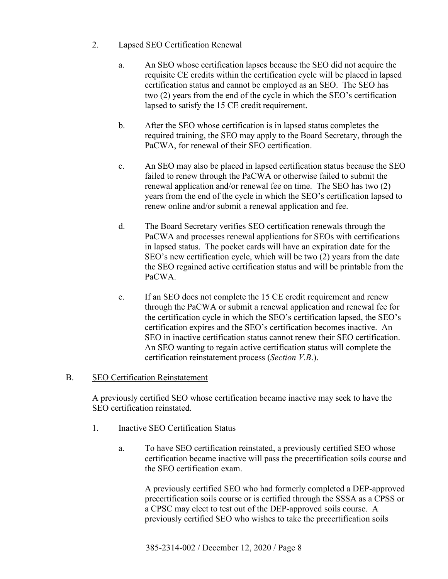- 2. Lapsed SEO Certification Renewal
	- a. An SEO whose certification lapses because the SEO did not acquire the requisite CE credits within the certification cycle will be placed in lapsed certification status and cannot be employed as an SEO. The SEO has two (2) years from the end of the cycle in which the SEO's certification lapsed to satisfy the 15 CE credit requirement.
	- b. After the SEO whose certification is in lapsed status completes the required training, the SEO may apply to the Board Secretary, through the PaCWA, for renewal of their SEO certification.
	- c. An SEO may also be placed in lapsed certification status because the SEO failed to renew through the PaCWA or otherwise failed to submit the renewal application and/or renewal fee on time. The SEO has two (2) years from the end of the cycle in which the SEO's certification lapsed to renew online and/or submit a renewal application and fee.
	- d. The Board Secretary verifies SEO certification renewals through the PaCWA and processes renewal applications for SEOs with certifications in lapsed status. The pocket cards will have an expiration date for the SEO's new certification cycle, which will be two (2) years from the date the SEO regained active certification status and will be printable from the PaCWA.
	- e. If an SEO does not complete the 15 CE credit requirement and renew through the PaCWA or submit a renewal application and renewal fee for the certification cycle in which the SEO's certification lapsed, the SEO's certification expires and the SEO's certification becomes inactive. An SEO in inactive certification status cannot renew their SEO certification. An SEO wanting to regain active certification status will complete the certification reinstatement process (*Section V.B*.).

## B. SEO Certification Reinstatement

A previously certified SEO whose certification became inactive may seek to have the SEO certification reinstated.

- 1. Inactive SEO Certification Status
	- a. To have SEO certification reinstated, a previously certified SEO whose certification became inactive will pass the precertification soils course and the SEO certification exam.

A previously certified SEO who had formerly completed a DEP-approved precertification soils course or is certified through the SSSA as a CPSS or a CPSC may elect to test out of the DEP-approved soils course. A previously certified SEO who wishes to take the precertification soils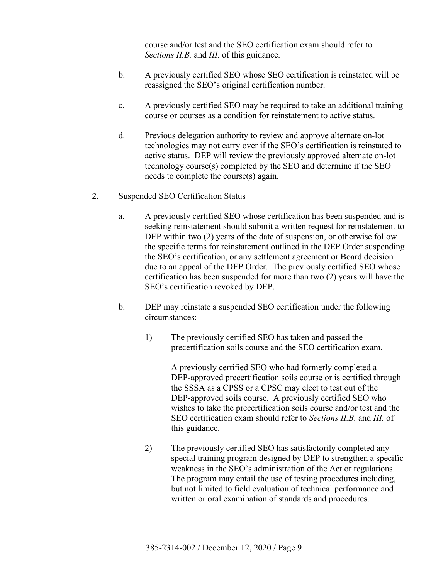course and/or test and the SEO certification exam should refer to *Sections II.B.* and *III.* of this guidance.

- b. A previously certified SEO whose SEO certification is reinstated will be reassigned the SEO's original certification number.
- c. A previously certified SEO may be required to take an additional training course or courses as a condition for reinstatement to active status.
- d. Previous delegation authority to review and approve alternate on-lot technologies may not carry over if the SEO's certification is reinstated to active status. DEP will review the previously approved alternate on-lot technology course(s) completed by the SEO and determine if the SEO needs to complete the course(s) again.
- 2. Suspended SEO Certification Status
	- a. A previously certified SEO whose certification has been suspended and is seeking reinstatement should submit a written request for reinstatement to DEP within two (2) years of the date of suspension, or otherwise follow the specific terms for reinstatement outlined in the DEP Order suspending the SEO's certification, or any settlement agreement or Board decision due to an appeal of the DEP Order. The previously certified SEO whose certification has been suspended for more than two (2) years will have the SEO's certification revoked by DEP.
	- b. DEP may reinstate a suspended SEO certification under the following circumstances:
		- 1) The previously certified SEO has taken and passed the precertification soils course and the SEO certification exam.

A previously certified SEO who had formerly completed a DEP-approved precertification soils course or is certified through the SSSA as a CPSS or a CPSC may elect to test out of the DEP-approved soils course. A previously certified SEO who wishes to take the precertification soils course and/or test and the SEO certification exam should refer to *Sections II.B.* and *III.* of this guidance.

2) The previously certified SEO has satisfactorily completed any special training program designed by DEP to strengthen a specific weakness in the SEO's administration of the Act or regulations. The program may entail the use of testing procedures including, but not limited to field evaluation of technical performance and written or oral examination of standards and procedures.